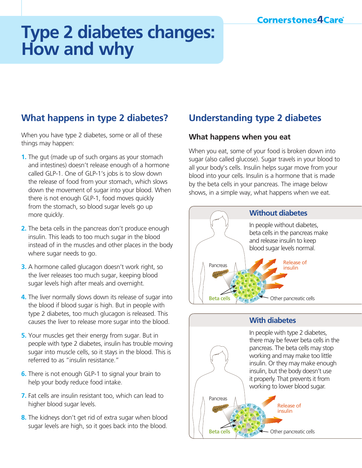# **Type 2 diabetes changes: How and why**

### **What happens in type 2 diabetes?**

When you have type 2 diabetes, some or all of these things may happen:

- **1.** The gut (made up of such organs as your stomach and intestines) doesn't release enough of a hormone called GLP-1. One of GLP-1's jobs is to slow down the release of food from your stomach, which slows down the movement of sugar into your blood. When there is not enough GLP-1, food moves quickly from the stomach, so blood sugar levels go up more quickly.
- **2.** The beta cells in the pancreas don't produce enough insulin. This leads to too much sugar in the blood instead of in the muscles and other places in the body where sugar needs to go.
- **3.** A hormone called glucagon doesn't work right, so the liver releases too much sugar, keeping blood sugar levels high after meals and overnight.
- **4.** The liver normally slows down its release of sugar into the blood if blood sugar is high. But in people with type 2 diabetes, too much glucagon is released. This causes the liver to release more sugar into the blood.
- **5.** Your muscles get their energy from sugar. But in people with type 2 diabetes, insulin has trouble moving sugar into muscle cells, so it stays in the blood. This is referred to as "insulin resistance."
- **6.** There is not enough GLP-1 to signal your brain to help your body reduce food intake.
- **7.** Fat cells are insulin resistant too, which can lead to higher blood sugar levels.
- **8.** The kidneys don't get rid of extra sugar when blood sugar levels are high, so it goes back into the blood.

## **Understanding type 2 diabetes**

#### **What happens when you eat**

When you eat, some of your food is broken down into sugar (also called glucose). Sugar travels in your blood to all your body's cells. Insulin helps sugar move from your blood into your cells. Insulin is a hormone that is made by the beta cells in your pancreas. The image below shows, in a simple way, what happens when we eat.



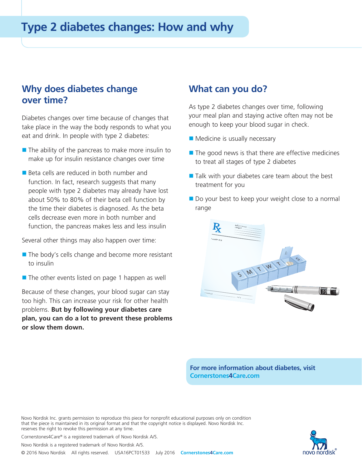#### **Why does diabetes change over time?**

Diabetes changes over time because of changes that take place in the way the body responds to what you eat and drink. In people with type 2 diabetes:

- $\blacksquare$  The ability of the pancreas to make more insulin to make up for insulin resistance changes over time
- Beta cells are reduced in both number and function. In fact, research suggests that many people with type 2 diabetes may already have lost about 50% to 80% of their beta cell function by the time their diabetes is diagnosed. As the beta cells decrease even more in both number and function, the pancreas makes less and less insulin

Several other things may also happen over time:

- $\blacksquare$  The body's cells change and become more resistant to insulin
- $\blacksquare$  The other events listed on page 1 happen as well

Because of these changes, your blood sugar can stay too high. This can increase your risk for other health problems. **But by following your diabetes care plan, you can do a lot to prevent these problems or slow them down.**

#### **What can you do?**

As type 2 diabetes changes over time, following your meal plan and staying active often may not be enough to keep your blood sugar in check.

- $\blacksquare$  Medicine is usually necessary
- $\blacksquare$  The good news is that there are effective medicines to treat all stages of type 2 diabetes
- $\blacksquare$  Talk with your diabetes care team about the best treatment for you
- $\blacksquare$  Do your best to keep your weight close to a normal range



**For more information about diabetes, visit Cornerstones4Care.com**

Novo Nordisk Inc. grants permission to reproduce this piece for nonprofit educational purposes only on condition that the piece is maintained in its original format and that the copyright notice is displayed. Novo Nordisk Inc. reserves the right to revoke this permission at any time.

Cornerstones4Care® is a registered trademark of Novo Nordisk A/S.

Novo Nordisk is a registered trademark of Novo Nordisk A/S.

© 2016 Novo Nordisk All rights reserved. USA16PCT01533 July 2016 **Cornerstones4Care.com**